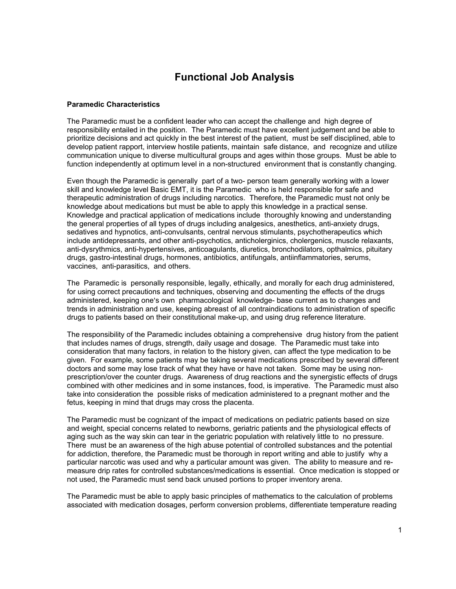# **Functional Job Analysis**

#### **Paramedic Characteristics**

The Paramedic must be a confident leader who can accept the challenge and high degree of responsibility entailed in the position. The Paramedic must have excellent judgement and be able to prioritize decisions and act quickly in the best interest of the patient, must be self disciplined, able to develop patient rapport, interview hostile patients, maintain safe distance, and recognize and utilize communication unique to diverse multicultural groups and ages within those groups. Must be able to function independently at optimum level in a non-structured environment that is constantly changing.

Even though the Paramedic is generally part of a two- person team generally working with a lower skill and knowledge level Basic EMT, it is the Paramedic who is held responsible for safe and therapeutic administration of drugs including narcotics. Therefore, the Paramedic must not only be knowledge about medications but must be able to apply this knowledge in a practical sense. Knowledge and practical application of medications include thoroughly knowing and understanding the general properties of all types of drugs including analgesics, anesthetics, anti-anxiety drugs, sedatives and hypnotics, anti-convulsants, central nervous stimulants, psychotherapeutics which include antidepressants, and other anti-psychotics, anticholerginics, cholergenics, muscle relaxants, anti-dysrythmics, anti-hypertensives, anticoagulants, diuretics, bronchodilators, opthalmics, pituitary drugs, gastro-intestinal drugs, hormones, antibiotics, antifungals, antiinflammatories, serums, vaccines, anti-parasitics, and others.

The Paramedic is personally responsible, legally, ethically, and morally for each drug administered, for using correct precautions and techniques, observing and documenting the effects of the drugs administered, keeping one's own pharmacological knowledge- base current as to changes and trends in administration and use, keeping abreast of all contraindications to administration of specific drugs to patients based on their constitutional make-up, and using drug reference literature.

The responsibility of the Paramedic includes obtaining a comprehensive drug history from the patient that includes names of drugs, strength, daily usage and dosage. The Paramedic must take into consideration that many factors, in relation to the history given, can affect the type medication to be given. For example, some patients may be taking several medications prescribed by several different doctors and some may lose track of what they have or have not taken. Some may be using nonprescription/over the counter drugs. Awareness of drug reactions and the synergistic effects of drugs combined with other medicines and in some instances, food, is imperative. The Paramedic must also take into consideration the possible risks of medication administered to a pregnant mother and the fetus, keeping in mind that drugs may cross the placenta.

The Paramedic must be cognizant of the impact of medications on pediatric patients based on size and weight, special concerns related to newborns, geriatric patients and the physiological effects of aging such as the way skin can tear in the geriatric population with relatively little to no pressure. There must be an awareness of the high abuse potential of controlled substances and the potential for addiction, therefore, the Paramedic must be thorough in report writing and able to justify why a particular narcotic was used and why a particular amount was given. The ability to measure and remeasure drip rates for controlled substances/medications is essential. Once medication is stopped or not used, the Paramedic must send back unused portions to proper inventory arena.

The Paramedic must be able to apply basic principles of mathematics to the calculation of problems associated with medication dosages, perform conversion problems, differentiate temperature reading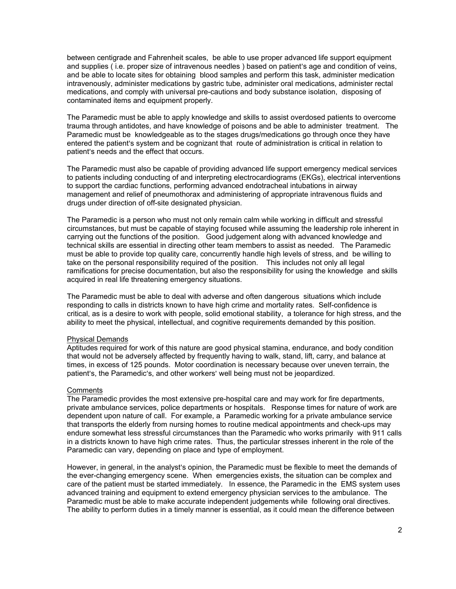between centigrade and Fahrenheit scales, be able to use proper advanced life support equipment and supplies (i.e. proper size of intravenous needles) based on patient's age and condition of veins, and be able to locate sites for obtaining blood samples and perform this task, administer medication intravenously, administer medications by gastric tube, administer oral medications, administer rectal medications, and comply with universal pre-cautions and body substance isolation, disposing of contaminated items and equipment properly.

The Paramedic must be able to apply knowledge and skills to assist overdosed patients to overcome trauma through antidotes, and have knowledge of poisons and be able to administer treatment. The Paramedic must be knowledgeable as to the stages drugs/medications go through once they have entered the patient's system and be cognizant that route of administration is critical in relation to patient's needs and the effect that occurs.

The Paramedic must also be capable of providing advanced life support emergency medical services to patients including conducting of and interpreting electrocardiograms (EKGs), electrical interventions to support the cardiac functions, performing advanced endotracheal intubations in airway management and relief of pneumothorax and administering of appropriate intravenous fluids and drugs under direction of off-site designated physician.

The Paramedic is a person who must not only remain calm while working in difficult and stressful circumstances, but must be capable of staying focused while assuming the leadership role inherent in carrying out the functions of the position. Good judgement along with advanced knowledge and technical skills are essential in directing other team members to assist as needed. The Paramedic must be able to provide top quality care, concurrently handle high levels of stress, and be willing to take on the personal responsibility required of the position. This includes not only all legal ramifications for precise documentation, but also the responsibility for using the knowledge and skills acquired in real life threatening emergency situations.

The Paramedic must be able to deal with adverse and often dangerous situations which include responding to calls in districts known to have high crime and mortality rates. Self-confidence is critical, as is a desire to work with people, solid emotional stability, a tolerance for high stress, and the ability to meet the physical, intellectual, and cognitive requirements demanded by this position.

#### Physical Demands

Aptitudes required for work of this nature are good physical stamina, endurance, and body condition that would not be adversely affected by frequently having to walk, stand, lift, carry, and balance at times, in excess of 125 pounds. Motor coordination is necessary because over uneven terrain, the patient's, the Paramedic's, and other workers' well being must not be jeopardized.

#### **Comments**

The Paramedic provides the most extensive pre-hospital care and may work for fire departments, private ambulance services, police departments or hospitals. Response times for nature of work are dependent upon nature of call. For example, a Paramedic working for a private ambulance service that transports the elderly from nursing homes to routine medical appointments and check-ups may endure somewhat less stressful circumstances than the Paramedic who works primarily with 911 calls in a districts known to have high crime rates. Thus, the particular stresses inherent in the role of the Paramedic can vary, depending on place and type of employment.

However, in general, in the analyst's opinion, the Paramedic must be flexible to meet the demands of the ever-changing emergency scene. When emergencies exists, the situation can be complex and care of the patient must be started immediately. In essence, the Paramedic in the EMS system uses advanced training and equipment to extend emergency physician services to the ambulance. The Paramedic must be able to make accurate independent judgements while following oral directives. The ability to perform duties in a timely manner is essential, as it could mean the difference between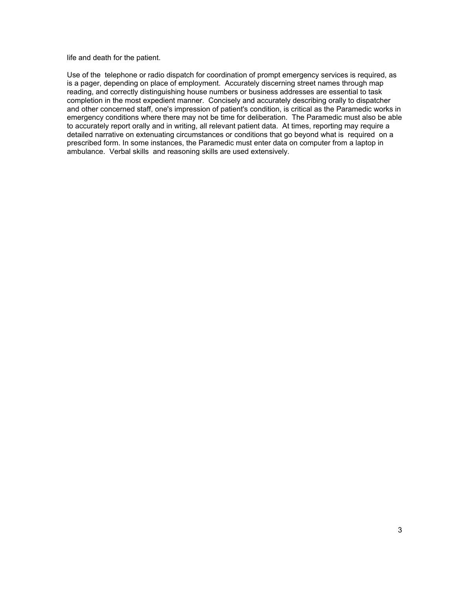life and death for the patient.

Use of the telephone or radio dispatch for coordination of prompt emergency services is required, as is a pager, depending on place of employment. Accurately discerning street names through map reading, and correctly distinguishing house numbers or business addresses are essential to task completion in the most expedient manner. Concisely and accurately describing orally to dispatcher and other concerned staff, one's impression of patient's condition, is critical as the Paramedic works in emergency conditions where there may not be time for deliberation. The Paramedic must also be able to accurately report orally and in writing, all relevant patient data. At times, reporting may require a detailed narrative on extenuating circumstances or conditions that go beyond what is required on a prescribed form. In some instances, the Paramedic must enter data on computer from a laptop in ambulance. Verbal skills and reasoning skills are used extensively.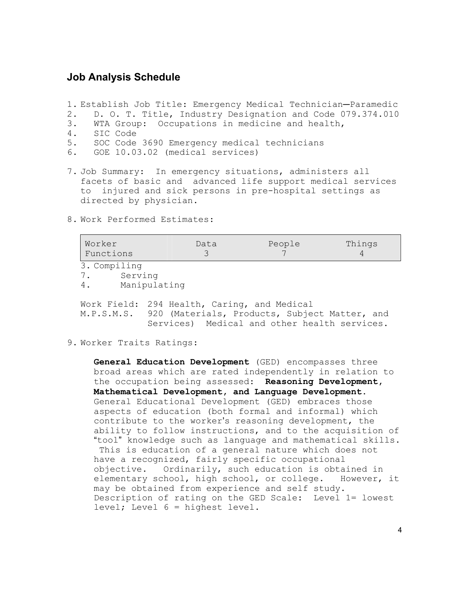## **Job Analysis Schedule**

- 1. Establish Job Title: Emergency Medical Technician-Paramedic
- 2. D. O. T. Title, Industry Designation and Code 079.374.010
- 3. WTA Group: Occupations in medicine and health,
- 4. SIC Code
- 5. SOC Code 3690 Emergency medical technicians
- 6. GOE 10.03.02 (medical services)
- 7. Job Summary: In emergency situations, administers all facets of basic and advanced life support medical services to injured and sick persons in pre-hospital settings as directed by physician.
- 8. Work Performed Estimates:

| Worker<br>Functions | Data | People | Things |
|---------------------|------|--------|--------|
| 3. Compiling        |      |        |        |
| Serving             |      |        |        |
| Manipulating        |      |        |        |

Work Field: 294 Health, Caring, and Medical M.P.S.M.S. 920 (Materials, Products, Subject Matter, and Services) Medical and other health services.

#### 9. Worker Traits Ratings:

**General Education Development** (GED) encompasses three broad areas which are rated independently in relation to the occupation being assessed: **Reasoning Development, Mathematical Development, and Language Development**. General Educational Development (GED) embraces those aspects of education (both formal and informal) which contribute to the worker's reasoning development, the ability to follow instructions, and to the acquisition of "tool" knowledge such as language and mathematical skills. This is education of a general nature which does not have a recognized, fairly specific occupational objective. Ordinarily, such education is obtained in elementary school, high school, or college. However, it may be obtained from experience and self study. Description of rating on the GED Scale: Level 1= lowest level; Level 6 = highest level.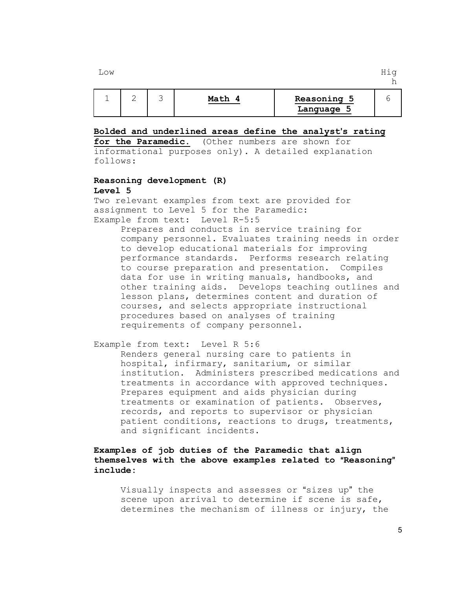| LOW |        |        |                           |  |
|-----|--------|--------|---------------------------|--|
|     | $\sim$ | Math 4 | Reasoning 5<br>Language 5 |  |

#### Bolded and underlined areas define the analyst's rating

**for the Paramedic.** (Other numbers are shown for informational purposes only). A detailed explanation follows:

#### **Reasoning development (R) Level 5**

Two relevant examples from text are provided for assignment to Level 5 for the Paramedic: Example from text: Level R-5:5

Prepares and conducts in service training for company personnel. Evaluates training needs in order to develop educational materials for improving performance standards. Performs research relating to course preparation and presentation. Compiles data for use in writing manuals, handbooks, and other training aids. Develops teaching outlines and lesson plans, determines content and duration of courses, and selects appropriate instructional procedures based on analyses of training requirements of company personnel.

Example from text: Level R 5:6

Renders general nursing care to patients in hospital, infirmary, sanitarium, or similar institution. Administers prescribed medications and treatments in accordance with approved techniques. Prepares equipment and aids physician during treatments or examination of patients. Observes, records, and reports to supervisor or physician patient conditions, reactions to drugs, treatments, and significant incidents.

## **Examples of job duties of the Paramedic that align**  themselves with the above examples related to "Reasoning" **include:**

Visually inspects and assesses or "sizes up" the scene upon arrival to determine if scene is safe, determines the mechanism of illness or injury, the

5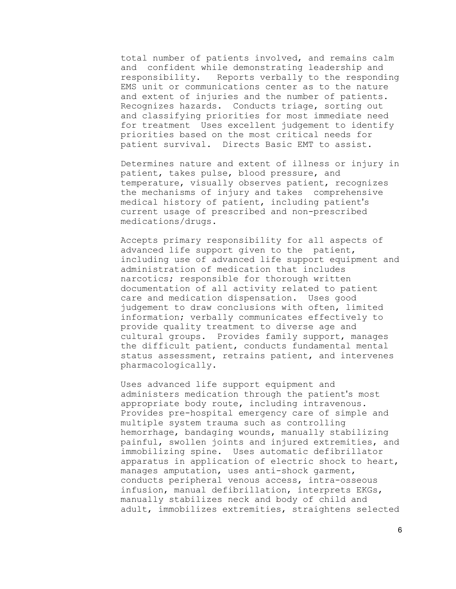total number of patients involved, and remains calm and confident while demonstrating leadership and responsibility. Reports verbally to the responding EMS unit or communications center as to the nature and extent of injuries and the number of patients. Recognizes hazards. Conducts triage, sorting out and classifying priorities for most immediate need for treatment Uses excellent judgement to identify priorities based on the most critical needs for patient survival. Directs Basic EMT to assist.

Determines nature and extent of illness or injury in patient, takes pulse, blood pressure, and temperature, visually observes patient, recognizes the mechanisms of injury and takes comprehensive medical history of patient, including patient's current usage of prescribed and non-prescribed medications/drugs.

Accepts primary responsibility for all aspects of advanced life support given to the patient, including use of advanced life support equipment and administration of medication that includes narcotics; responsible for thorough written documentation of all activity related to patient care and medication dispensation. Uses good judgement to draw conclusions with often, limited information; verbally communicates effectively to provide quality treatment to diverse age and cultural groups. Provides family support, manages the difficult patient, conducts fundamental mental status assessment, retrains patient, and intervenes pharmacologically.

Uses advanced life support equipment and administers medication through the patient's most appropriate body route, including intravenous. Provides pre-hospital emergency care of simple and multiple system trauma such as controlling hemorrhage, bandaging wounds, manually stabilizing painful, swollen joints and injured extremities, and immobilizing spine. Uses automatic defibrillator apparatus in application of electric shock to heart, manages amputation, uses anti-shock garment, conducts peripheral venous access, intra-osseous infusion, manual defibrillation, interprets EKGs, manually stabilizes neck and body of child and adult, immobilizes extremities, straightens selected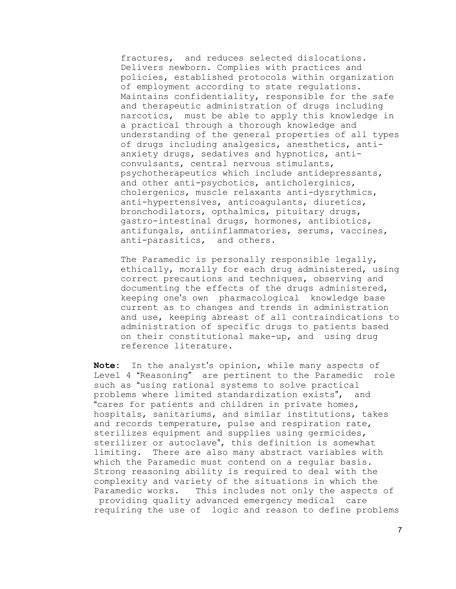fractures, and reduces selected dislocations. Delivers newborn. Complies with practices and policies, established protocols within organization of employment according to state regulations. Maintains confidentiality, responsible for the safe and therapeutic administration of drugs including narcotics, must be able to apply this knowledge in a practical through a thorough knowledge and understanding of the general properties of all types of drugs including analgesics, anesthetics, antianxiety drugs, sedatives and hypnotics, anticonvulsants, central nervous stimulants, psychotherapeutics which include antidepressants, and other anti-psychotics, anticholerginics, cholergenics, muscle relaxants anti-dysrythmics, anti-hypertensives, anticoagulants, diuretics, bronchodilators, opthalmics, pituitary drugs, gastro-intestinal drugs, hormones, antibiotics, antifungals, antiinflammatories, serums, vaccines, anti-parasitics, and others.

The Paramedic is personally responsible legally, ethically, morally for each drug administered, using correct precautions and techniques, observing and documenting the effects of the drugs administered, keeping one's own pharmacological knowledge base current as to changes and trends in administration and use, keeping abreast of all contraindications to administration of specific drugs to patients based on their constitutional make-up, and using drug reference literature.

Note: In the analyst's opinion, while many aspects of Level 4 "Reasoning" are pertinent to the Paramedic role such as "using rational systems to solve practical problems where limited standardization exists", and "cares for patients and children in private homes, hospitals, sanitariums, and similar institutions, takes and records temperature, pulse and respiration rate, sterilizes equipment and supplies using germicides, sterilizer or autoclave", this definition is somewhat limiting. There are also many abstract variables with which the Paramedic must contend on a regular basis. Strong reasoning ability is required to deal with the complexity and variety of the situations in which the Paramedic works. This includes not only the aspects of providing quality advanced emergency medical care requiring the use of logic and reason to define problems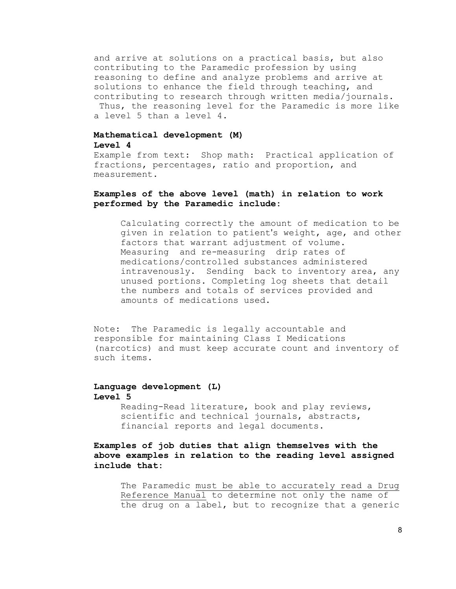and arrive at solutions on a practical basis, but also contributing to the Paramedic profession by using reasoning to define and analyze problems and arrive at solutions to enhance the field through teaching, and contributing to research through written media/journals. Thus, the reasoning level for the Paramedic is more like a level 5 than a level 4.

#### **Mathematical development (M) Level 4**

Example from text: Shop math: Practical application of fractions, percentages, ratio and proportion, and measurement.

## **Examples of the above level (math) in relation to work performed by the Paramedic include:**

Calculating correctly the amount of medication to be given in relation to patient's weight, age, and other factors that warrant adjustment of volume. Measuring and re-measuring drip rates of medications/controlled substances administered intravenously. Sending back to inventory area, any unused portions. Completing log sheets that detail the numbers and totals of services provided and amounts of medications used.

Note: The Paramedic is legally accountable and responsible for maintaining Class I Medications (narcotics) and must keep accurate count and inventory of such items.

#### **Language development (L) Level 5**

Reading-Read literature, book and play reviews, scientific and technical journals, abstracts, financial reports and legal documents.

**Examples of job duties that align themselves with the above examples in relation to the reading level assigned include that:** 

The Paramedic must be able to accurately read a Drug Reference Manual to determine not only the name of the drug on a label, but to recognize that a generic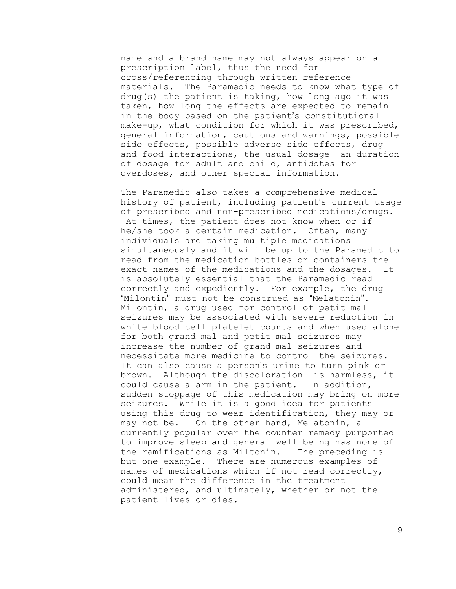name and a brand name may not always appear on a prescription label, thus the need for cross/referencing through written reference materials. The Paramedic needs to know what type of drug(s) the patient is taking, how long ago it was taken, how long the effects are expected to remain in the body based on the patient's constitutional make-up, what condition for which it was prescribed, general information, cautions and warnings, possible side effects, possible adverse side effects, drug and food interactions, the usual dosage an duration of dosage for adult and child, antidotes for overdoses, and other special information.

The Paramedic also takes a comprehensive medical history of patient, including patient's current usage of prescribed and non-prescribed medications/drugs. At times, the patient does not know when or if he/she took a certain medication. Often, many individuals are taking multiple medications simultaneously and it will be up to the Paramedic to read from the medication bottles or containers the exact names of the medications and the dosages. It is absolutely essential that the Paramedic read correctly and expediently. For example, the drug "Milontin" must not be construed as "Melatonin". Milontin, a drug used for control of petit mal seizures may be associated with severe reduction in white blood cell platelet counts and when used alone for both grand mal and petit mal seizures may increase the number of grand mal seizures and necessitate more medicine to control the seizures. It can also cause a person's urine to turn pink or brown. Although the discoloration is harmless, it could cause alarm in the patient. In addition, sudden stoppage of this medication may bring on more seizures. While it is a good idea for patients using this drug to wear identification, they may or may not be. On the other hand, Melatonin, a currently popular over the counter remedy purported to improve sleep and general well being has none of the ramifications as Miltonin. The preceding is but one example. There are numerous examples of names of medications which if not read correctly, could mean the difference in the treatment administered, and ultimately, whether or not the patient lives or dies.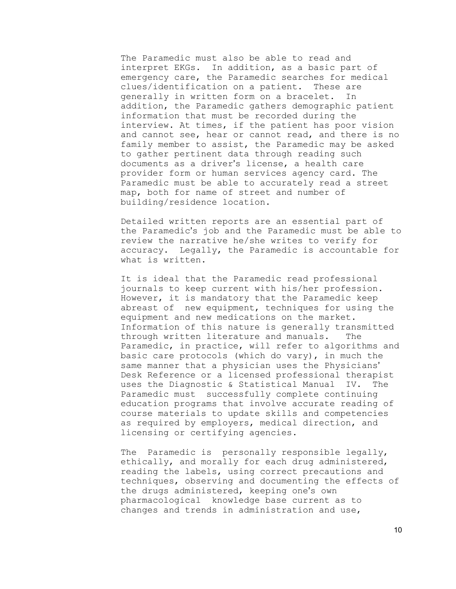The Paramedic must also be able to read and interpret EKGs. In addition, as a basic part of emergency care, the Paramedic searches for medical clues/identification on a patient. These are generally in written form on a bracelet. In addition, the Paramedic gathers demographic patient information that must be recorded during the interview. At times, if the patient has poor vision and cannot see, hear or cannot read, and there is no family member to assist, the Paramedic may be asked to gather pertinent data through reading such documents as a driver's license, a health care provider form or human services agency card. The Paramedic must be able to accurately read a street map, both for name of street and number of building/residence location.

Detailed written reports are an essential part of the Paramedic's job and the Paramedic must be able to review the narrative he/she writes to verify for accuracy. Legally, the Paramedic is accountable for what is written.

It is ideal that the Paramedic read professional journals to keep current with his/her profession. However, it is mandatory that the Paramedic keep abreast of new equipment, techniques for using the equipment and new medications on the market. Information of this nature is generally transmitted through written literature and manuals. The Paramedic, in practice, will refer to algorithms and basic care protocols (which do vary), in much the same manner that a physician uses the Physicians' Desk Reference or a licensed professional therapist uses the Diagnostic & Statistical Manual IV. The Paramedic must successfully complete continuing education programs that involve accurate reading of course materials to update skills and competencies as required by employers, medical direction, and licensing or certifying agencies.

The Paramedic is personally responsible legally, ethically, and morally for each drug administered, reading the labels, using correct precautions and techniques, observing and documenting the effects of the drugs administered, keeping one's own pharmacological knowledge base current as to changes and trends in administration and use,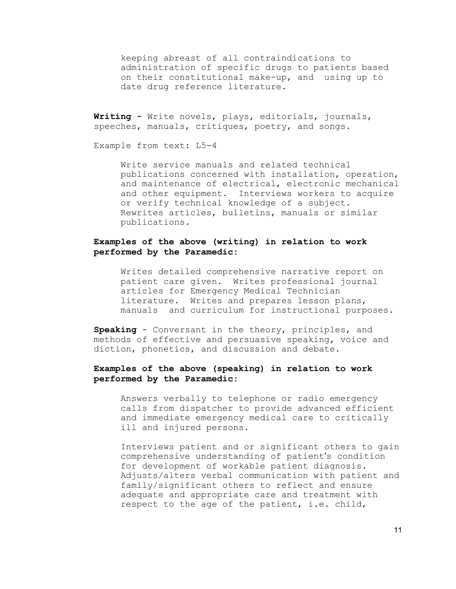keeping abreast of all contraindications to administration of specific drugs to patients based on their constitutional make-up, and using up to date drug reference literature.

**Writing -** Write novels, plays, editorials, journals, speeches, manuals, critiques, poetry, and songs.

Example from text: L5-4

Write service manuals and related technical publications concerned with installation, operation, and maintenance of electrical, electronic mechanical and other equipment. Interviews workers to acquire or verify technical knowledge of a subject. Rewrites articles, bulletins, manuals or similar publications.

## **Examples of the above (writing) in relation to work performed by the Paramedic:**

Writes detailed comprehensive narrative report on patient care given. Writes professional journal articles for Emergency Medical Technician literature. Writes and prepares lesson plans, manuals and curriculum for instructional purposes.

**Speaking** - Conversant in the theory, principles, and methods of effective and persuasive speaking, voice and diction, phonetics, and discussion and debate.

## **Examples of the above (speaking) in relation to work performed by the Paramedic:**

Answers verbally to telephone or radio emergency calls from dispatcher to provide advanced efficient and immediate emergency medical care to critically ill and injured persons.

Interviews patient and or significant others to gain comprehensive understanding of patient's condition for development of workable patient diagnosis. Adjusts/alters verbal communication with patient and family/significant others to reflect and ensure adequate and appropriate care and treatment with respect to the age of the patient, i.e. child,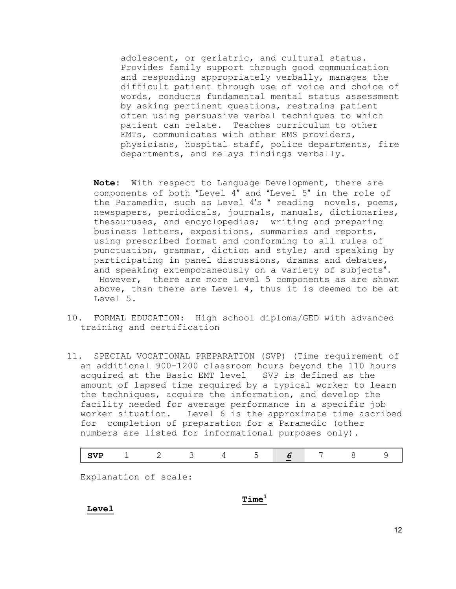adolescent, or geriatric, and cultural status. Provides family support through good communication and responding appropriately verbally, manages the difficult patient through use of voice and choice of words, conducts fundamental mental status assessment by asking pertinent questions, restrains patient often using persuasive verbal techniques to which patient can relate. Teaches curriculum to other EMTs, communicates with other EMS providers, physicians, hospital staff, police departments, fire departments, and relays findings verbally.

**Note:** With respect to Language Development, there are components of both "Level 4" and "Level 5" in the role of the Paramedic, such as Level 4's " reading novels, poems, newspapers, periodicals, journals, manuals, dictionaries, thesauruses, and encyclopedias; writing and preparing business letters, expositions, summaries and reports, using prescribed format and conforming to all rules of punctuation, grammar, diction and style; and speaking by participating in panel discussions, dramas and debates, and speaking extemporaneously on a variety of subjects". However, there are more Level 5 components as are shown above, than there are Level  $4$ , thus it is deemed to be at Level 5.

- 10. FORMAL EDUCATION: High school diploma/GED with advanced training and certification
- 11. SPECIAL VOCATIONAL PREPARATION (SVP) (Time requirement of an additional 900-1200 classroom hours beyond the 110 hours acquired at the Basic EMT level SVP is defined as the amount of lapsed time required by a typical worker to learn the techniques, acquire the information, and develop the facility needed for average performance in a specific job worker situation. Level 6 is the approximate time ascribed for completion of preparation for a Paramedic (other numbers are listed for informational purposes only).

|  |  | $SVP$ 1 2 3 4 5 6 7 8 9 |  |  |
|--|--|-------------------------|--|--|
|  |  |                         |  |  |

Explanation of scale:

**Time<sup>1</sup>**

**Level**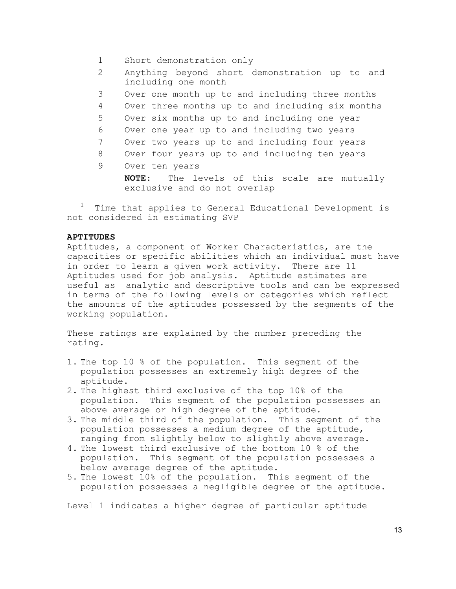- 1 Short demonstration only
- 2 Anything beyond short demonstration up to and including one month
- 3 Over one month up to and including three months
- 4 Over three months up to and including six months
- 5 Over six months up to and including one year
- 6 Over one year up to and including two years
- 7 Over two years up to and including four years
- 8 Over four years up to and including ten years
- 9 Over ten years

**NOTE:** The levels of this scale are mutually exclusive and do not overlap

1 Time that applies to General Educational Development is not considered in estimating SVP

#### **APTITUDES**

Aptitudes, a component of Worker Characteristics, are the capacities or specific abilities which an individual must have in order to learn a given work activity. There are 11 Aptitudes used for job analysis. Aptitude estimates are useful as analytic and descriptive tools and can be expressed in terms of the following levels or categories which reflect the amounts of the aptitudes possessed by the segments of the working population.

These ratings are explained by the number preceding the rating.

- 1. The top 10 % of the population. This segment of the population possesses an extremely high degree of the aptitude.
- 2. The highest third exclusive of the top 10% of the population. This segment of the population possesses an above average or high degree of the aptitude.
- 3. The middle third of the population. This segment of the population possesses a medium degree of the aptitude, ranging from slightly below to slightly above average.
- 4. The lowest third exclusive of the bottom 10 % of the population. This segment of the population possesses a below average degree of the aptitude.
- 5. The lowest 10% of the population. This segment of the population possesses a negligible degree of the aptitude.

Level 1 indicates a higher degree of particular aptitude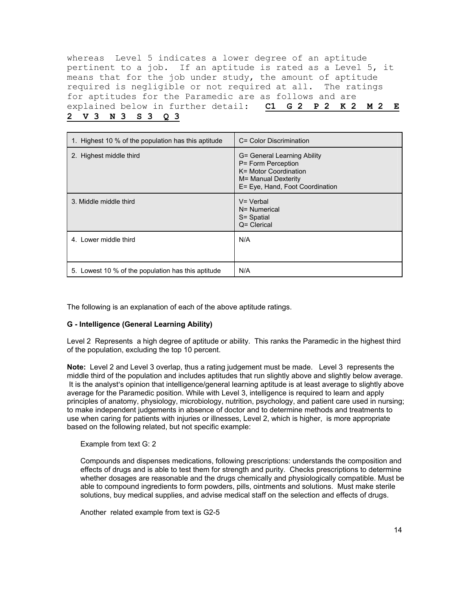whereas Level 5 indicates a lower degree of an aptitude pertinent to a job. If an aptitude is rated as a Level 5, it means that for the job under study, the amount of aptitude required is negligible or not required at all. The ratings for aptitudes for the Paramedic are as follows and are explained below in further detail: **C1 G 2 P 2 K 2 M 2 E** 

| 1. Highest 10 % of the population has this aptitude | C= Color Discrimination                                                                                                              |
|-----------------------------------------------------|--------------------------------------------------------------------------------------------------------------------------------------|
| 2. Highest middle third                             | G= General Learning Ability<br>P= Form Perception<br>K= Motor Coordination<br>M= Manual Dexterity<br>E= Eye, Hand, Foot Coordination |
| 3. Middle middle third                              | $V = Verbal$<br>N= Numerical<br>S= Spatial<br>$Q =$ Clerical                                                                         |
| 4. Lower middle third                               | N/A                                                                                                                                  |
| 5. Lowest 10 % of the population has this aptitude  | N/A                                                                                                                                  |

**2 V 3 N 3 S 3 Q 3** 

The following is an explanation of each of the above aptitude ratings.

#### **G - Intelligence (General Learning Ability)**

Level 2 Represents a high degree of aptitude or ability. This ranks the Paramedic in the highest third of the population, excluding the top 10 percent.

**Note:** Level 2 and Level 3 overlap, thus a rating judgement must be made. Level 3 represents the middle third of the population and includes aptitudes that run slightly above and slightly below average. It is the analyst's opinion that intelligence/general learning aptitude is at least average to slightly above average for the Paramedic position. While with Level 3, intelligence is required to learn and apply principles of anatomy, physiology, microbiology, nutrition, psychology, and patient care used in nursing; to make independent judgements in absence of doctor and to determine methods and treatments to use when caring for patients with injuries or illnesses, Level 2, which is higher, is more appropriate based on the following related, but not specific example:

Example from text G: 2

Compounds and dispenses medications, following prescriptions: understands the composition and effects of drugs and is able to test them for strength and purity. Checks prescriptions to determine whether dosages are reasonable and the drugs chemically and physiologically compatible. Must be able to compound ingredients to form powders, pills, ointments and solutions. Must make sterile solutions, buy medical supplies, and advise medical staff on the selection and effects of drugs.

Another related example from text is G2-5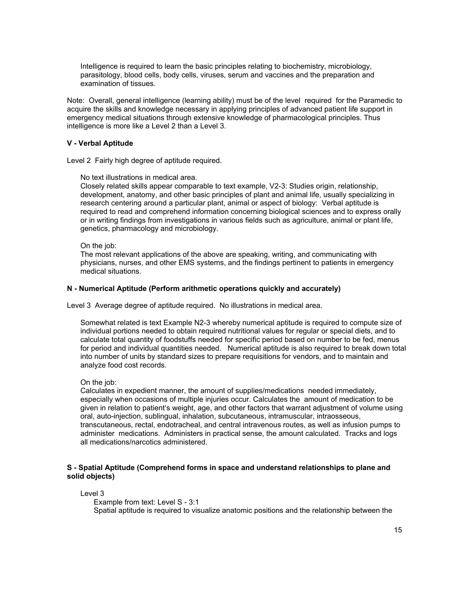Intelligence is required to learn the basic principles relating to biochemistry, microbiology, parasitology, blood cells, body cells, viruses, serum and vaccines and the preparation and examination of tissues.

Note: Overall, general intelligence (learning ability) must be of the level required for the Paramedic to acquire the skills and knowledge necessary in applying principles of advanced patient life support in emergency medical situations through extensive knowledge of pharmacological principles. Thus intelligence is more like a Level 2 than a Level 3.

#### **V - Verbal Aptitude**

Level 2 Fairly high degree of aptitude required.

No text illustrations in medical area.

Closely related skills appear comparable to text example, V2-3: Studies origin, relationship, development, anatomy, and other basic principles of plant and animal life, usually specializing in research centering around a particular plant, animal or aspect of biology: Verbal aptitude is required to read and comprehend information concerning biological sciences and to express orally or in writing findings from investigations in various fields such as agriculture, animal or plant life, genetics, pharmacology and microbiology.

On the job:

The most relevant applications of the above are speaking, writing, and communicating with physicians, nurses, and other EMS systems, and the findings pertinent to patients in emergency medical situations.

#### **N - Numerical Aptitude (Perform arithmetic operations quickly and accurately)**

Level 3 Average degree of aptitude required. No illustrations in medical area.

Somewhat related is text Example N2-3 whereby numerical aptitude is required to compute size of individual portions needed to obtain required nutritional values for regular or special diets, and to calculate total quantity of foodstuffs needed for specific period based on number to be fed, menus for period and individual quantities needed. Numerical aptitude is also required to break down total into number of units by standard sizes to prepare requisitions for vendors, and to maintain and analyze food cost records.

#### On the job:

Calculates in expedient manner, the amount of supplies/medications needed immediately, especially when occasions of multiple injuries occur. Calculates the amount of medication to be given in relation to patient's weight, age, and other factors that warrant adjustment of volume using oral, auto-injection, sublingual, inhalation, subcutaneous, intramuscular, intraosseous, transcutaneous, rectal, endotracheal, and central intravenous routes, as well as infusion pumps to administer medications. Administers in practical sense, the amount calculated. Tracks and logs all medications/narcotics administered.

#### **S - Spatial Aptitude (Comprehend forms in space and understand relationships to plane and solid objects)**

Level 3

Example from text: Level S - 3:1 Spatial aptitude is required to visualize anatomic positions and the relationship between the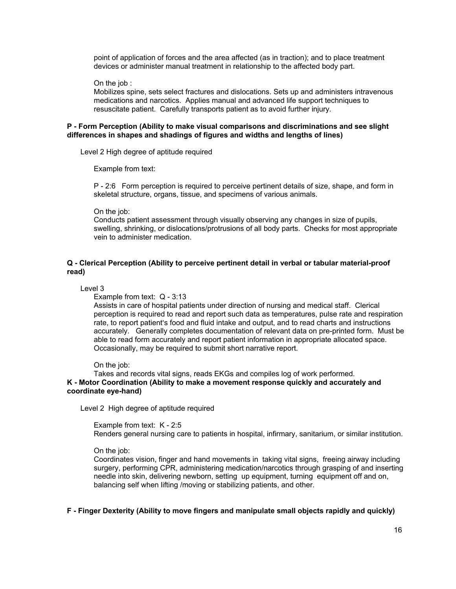point of application of forces and the area affected (as in traction); and to place treatment devices or administer manual treatment in relationship to the affected body part.

On the job :

Mobilizes spine, sets select fractures and dislocations. Sets up and administers intravenous medications and narcotics. Applies manual and advanced life support techniques to resuscitate patient. Carefully transports patient as to avoid further injury.

#### **P - Form Perception (Ability to make visual comparisons and discriminations and see slight differences in shapes and shadings of figures and widths and lengths of lines)**

Level 2 High degree of aptitude required

Example from text:

P - 2:6 Form perception is required to perceive pertinent details of size, shape, and form in skeletal structure, organs, tissue, and specimens of various animals.

On the job:

Conducts patient assessment through visually observing any changes in size of pupils, swelling, shrinking, or dislocations/protrusions of all body parts. Checks for most appropriate vein to administer medication.

#### **Q - Clerical Perception (Ability to perceive pertinent detail in verbal or tabular material-proof read)**

Level 3

Example from text: Q - 3:13

Assists in care of hospital patients under direction of nursing and medical staff. Clerical perception is required to read and report such data as temperatures, pulse rate and respiration rate, to report patient's food and fluid intake and output, and to read charts and instructions accurately. Generally completes documentation of relevant data on pre-printed form. Must be able to read form accurately and report patient information in appropriate allocated space. Occasionally, may be required to submit short narrative report.

On the job:

Takes and records vital signs, reads EKGs and compiles log of work performed. **K - Motor Coordination (Ability to make a movement response quickly and accurately and coordinate eye-hand)** 

Level 2 High degree of aptitude required

Example from text: K - 2:5 Renders general nursing care to patients in hospital, infirmary, sanitarium, or similar institution.

On the job:

Coordinates vision, finger and hand movements in taking vital signs, freeing airway including surgery, performing CPR, administering medication/narcotics through grasping of and inserting needle into skin, delivering newborn, setting up equipment, turning equipment off and on, balancing self when lifting /moving or stabilizing patients, and other.

#### **F - Finger Dexterity (Ability to move fingers and manipulate small objects rapidly and quickly)**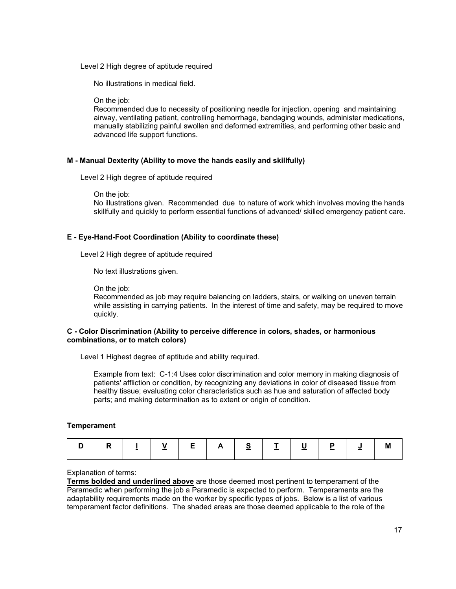Level 2 High degree of aptitude required

No illustrations in medical field.

On the job:

Recommended due to necessity of positioning needle for injection, opening and maintaining airway, ventilating patient, controlling hemorrhage, bandaging wounds, administer medications, manually stabilizing painful swollen and deformed extremities, and performing other basic and advanced life support functions.

#### **M - Manual Dexterity (Ability to move the hands easily and skillfully)**

Level 2 High degree of aptitude required

On the job:

No illustrations given. Recommended due to nature of work which involves moving the hands skillfully and quickly to perform essential functions of advanced/ skilled emergency patient care.

#### **E - Eye-Hand-Foot Coordination (Ability to coordinate these)**

Level 2 High degree of aptitude required

No text illustrations given.

On the job:

Recommended as job may require balancing on ladders, stairs, or walking on uneven terrain while assisting in carrying patients. In the interest of time and safety, may be required to move quickly.

#### **C - Color Discrimination (Ability to perceive difference in colors, shades, or harmonious combinations, or to match colors)**

Level 1 Highest degree of aptitude and ability required.

Example from text: C-1:4 Uses color discrimination and color memory in making diagnosis of patients' affliction or condition, by recognizing any deviations in color of diseased tissue from healthy tissue; evaluating color characteristics such as hue and saturation of affected body parts; and making determination as to extent or origin of condition.

#### **Temperament**

|  |  |  |  | F |  | - |  | $\overline{\phantom{a}}$ |  |  | M |
|--|--|--|--|---|--|---|--|--------------------------|--|--|---|
|--|--|--|--|---|--|---|--|--------------------------|--|--|---|

#### Explanation of terms:

**Terms bolded and underlined above** are those deemed most pertinent to temperament of the Paramedic when performing the job a Paramedic is expected to perform. Temperaments are the adaptability requirements made on the worker by specific types of jobs. Below is a list of various temperament factor definitions. The shaded areas are those deemed applicable to the role of the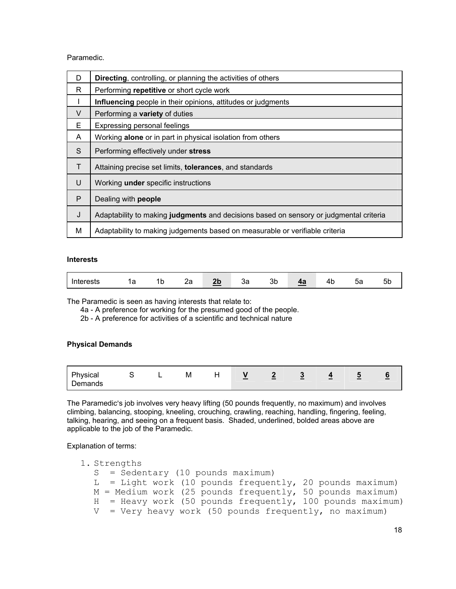Paramedic.

| D | <b>Directing, controlling, or planning the activities of others</b>                           |
|---|-----------------------------------------------------------------------------------------------|
| R | Performing repetitive or short cycle work                                                     |
|   | Influencing people in their opinions, attitudes or judgments                                  |
| V | Performing a variety of duties                                                                |
| Е | Expressing personal feelings                                                                  |
| A | Working alone or in part in physical isolation from others                                    |
| S | Performing effectively under stress                                                           |
| T | Attaining precise set limits, <b>tolerances</b> , and standards                               |
| U | Working <b>under</b> specific instructions                                                    |
| P | Dealing with <b>people</b>                                                                    |
| J | Adaptability to making <b>judgments</b> and decisions based on sensory or judgmental criteria |
| М | Adaptability to making judgements based on measurable or verifiable criteria                  |

#### **Interests**

| ັບເ<br>ິ<br>៴៲<br>÷а<br><b>UCI GOLO</b><br>ັັ<br>୴<br>™<br><u>r</u> u<br>⊷<br>$\overline{\phantom{a}}$<br>$\sim$<br>$\overline{\phantom{a}}$ |
|----------------------------------------------------------------------------------------------------------------------------------------------|
|----------------------------------------------------------------------------------------------------------------------------------------------|

The Paramedic is seen as having interests that relate to:

4a - A preference for working for the presumed good of the people.

2b - A preference for activities of a scientific and technical nature

#### **Physical Demands**

| Dh<br>'hysical<br>-<br>emands<br>້ | ◡ | - | M | . . | $\sim$ | = | w<br><b>Service</b> | - | - | - |
|------------------------------------|---|---|---|-----|--------|---|---------------------|---|---|---|
|------------------------------------|---|---|---|-----|--------|---|---------------------|---|---|---|

The Paramedic's job involves very heavy lifting (50 pounds frequently, no maximum) and involves climbing, balancing, stooping, kneeling, crouching, crawling, reaching, handling, fingering, feeling, talking, hearing, and seeing on a frequent basis. Shaded, underlined, bolded areas above are applicable to the job of the Paramedic.

Explanation of terms:

```
1. Strengths 
S = Sedentary (10 pounds maximum) 
L = Light work (10 pounds frequently, 20 pounds maximum)M = Medium work (25 pounds frequently, 50 pounds maximum)
H = Heavy work (50 pounds frequently, 100 pounds maximum)
V = Very heavy work (50 pounds frequently, no maximum)
```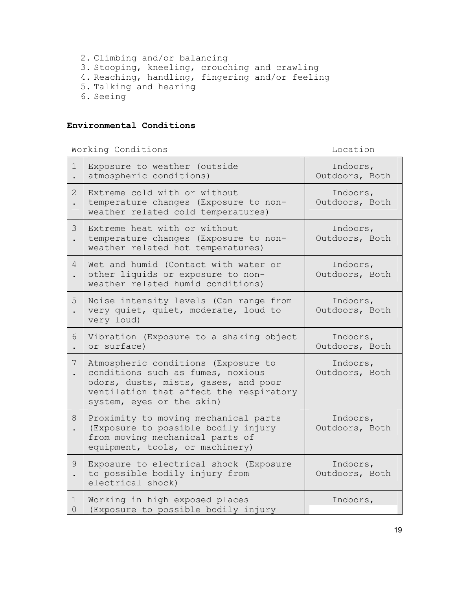| 2. Climbing and/or balancing                    |  |
|-------------------------------------------------|--|
| 3. Stooping, kneeling, crouching and crawling   |  |
| 4. Reaching, handling, fingering and/or feeling |  |
| 5. Talking and hearing<br>6. Seeing             |  |

## **Environmental Conditions**

Working Conditions and the Location Morking Conditions

| $\mathbf 1$         | Exposure to weather (outside<br>atmospheric conditions)                                                                                                                                  | Indoors,<br>Outdoors, Both |
|---------------------|------------------------------------------------------------------------------------------------------------------------------------------------------------------------------------------|----------------------------|
| 2                   | Extreme cold with or without<br>temperature changes (Exposure to non-<br>weather related cold temperatures)                                                                              | Indoors,<br>Outdoors, Both |
| 3                   | Extreme heat with or without<br>temperature changes (Exposure to non-<br>weather related hot temperatures)                                                                               | Indoors,<br>Outdoors, Both |
| $\overline{4}$      | Wet and humid (Contact with water or<br>other liquids or exposure to non-<br>weather related humid conditions)                                                                           | Indoors,<br>Outdoors, Both |
| 5                   | Noise intensity levels (Can range from<br>very quiet, quiet, moderate, loud to<br>very loud)                                                                                             | Indoors,<br>Outdoors, Both |
| 6                   | Vibration (Exposure to a shaking object<br>or surface)                                                                                                                                   | Indoors,<br>Outdoors, Both |
| 7                   | Atmospheric conditions (Exposure to<br>conditions such as fumes, noxious<br>odors, dusts, mists, gases, and poor<br>ventilation that affect the respiratory<br>system, eyes or the skin) | Indoors,<br>Outdoors, Both |
| 8                   | Proximity to moving mechanical parts<br>(Exposure to possible bodily injury<br>from moving mechanical parts of<br>equipment, tools, or machinery)                                        | Indoors,<br>Outdoors, Both |
| 9                   | Exposure to electrical shock (Exposure<br>to possible bodily injury from<br>electrical shock)                                                                                            | Indoors,<br>Outdoors, Both |
| 1<br>$\overline{O}$ | Working in high exposed places<br>(Exposure to possible bodily injury                                                                                                                    | Indoors,                   |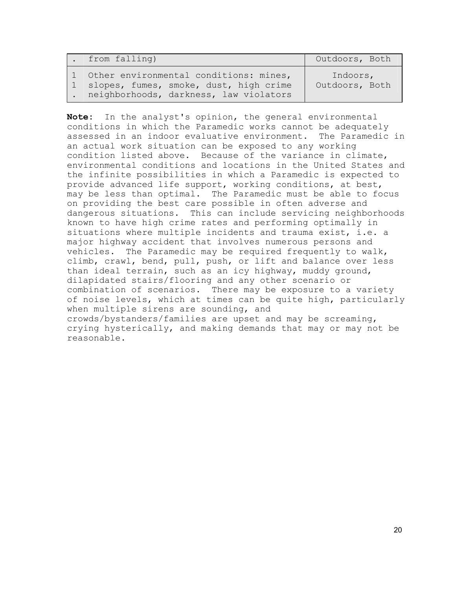| from falling)                                                                                                                  | Outdoors, Both             |
|--------------------------------------------------------------------------------------------------------------------------------|----------------------------|
| 1 Other environmental conditions: mines,<br>1 slopes, fumes, smoke, dust, high crime<br>neighborhoods, darkness, law violators | Indoors,<br>Outdoors, Both |

**Note:** In the analyst's opinion, the general environmental conditions in which the Paramedic works cannot be adequately assessed in an indoor evaluative environment. The Paramedic in an actual work situation can be exposed to any working condition listed above. Because of the variance in climate, environmental conditions and locations in the United States and the infinite possibilities in which a Paramedic is expected to provide advanced life support, working conditions, at best, may be less than optimal. The Paramedic must be able to focus on providing the best care possible in often adverse and dangerous situations. This can include servicing neighborhoods known to have high crime rates and performing optimally in situations where multiple incidents and trauma exist, i.e. a major highway accident that involves numerous persons and vehicles. The Paramedic may be required frequently to walk, climb, crawl, bend, pull, push, or lift and balance over less than ideal terrain, such as an icy highway, muddy ground, dilapidated stairs/flooring and any other scenario or combination of scenarios. There may be exposure to a variety of noise levels, which at times can be quite high, particularly when multiple sirens are sounding, and crowds/bystanders/families are upset and may be screaming, crying hysterically, and making demands that may or may not be reasonable.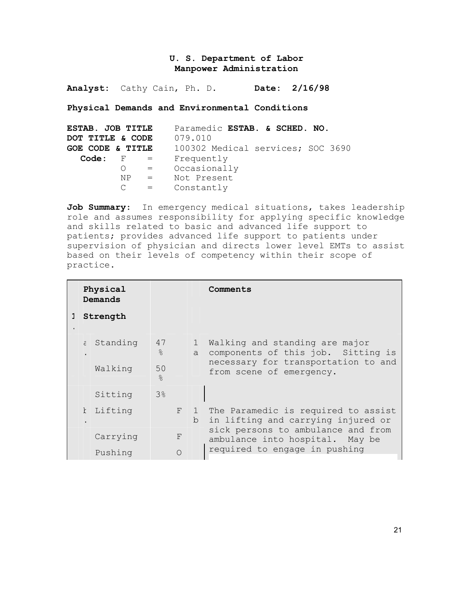## **U. S. Department of Labor Manpower Administration**

**Analyst:** Cathy Cain, Ph. D. **Date: 2/16/98**

**Physical Demands and Environmental Conditions** 

| ESTAB. JOB TITLE |           | Paramedic ESTAB. & SCHED. NO.     |
|------------------|-----------|-----------------------------------|
| DOT TITLE & CODE |           | 079.010                           |
| GOE CODE & TITLE |           | 100302 Medical services; SOC 3690 |
| $Code: \tF =$    |           | Frequently                        |
|                  | $\circ$ = | Occasionally                      |
|                  | NP.       | = Not Present                     |
|                  |           | $C =$ Constantly                  |

**Job Summary**: In emergency medical situations, takes leadership role and assumes responsibility for applying specific knowledge and skills related to basic and advanced life support to patients; provides advanced life support to patients under supervision of physician and directs lower level EMTs to assist based on their levels of competency within their scope of practice.

| Physical<br>Demands         |          |                     |   |                             | Comments                                                                  |
|-----------------------------|----------|---------------------|---|-----------------------------|---------------------------------------------------------------------------|
|                             | Strength |                     |   |                             |                                                                           |
| $\tilde{\epsilon}$          | Standing | 47<br>$\frac{6}{5}$ |   | $\mathbf 1$<br>$\mathsf{a}$ | Walking and standing are major<br>components of this job. Sitting is      |
|                             | Walking  | 50<br>$\approx$     |   |                             | necessary for transportation to and<br>from scene of emergency.           |
|                             | Sitting  | 3%                  |   |                             |                                                                           |
| $\mathfrak{r}$<br>$\bullet$ | Lifting  |                     | F | b                           | The Paramedic is required to assist<br>in lifting and carrying injured or |
|                             | Carrying |                     | F |                             | sick persons to ambulance and from<br>ambulance into hospital. May be     |
|                             | Pushing  |                     | ∩ |                             | required to engage in pushing                                             |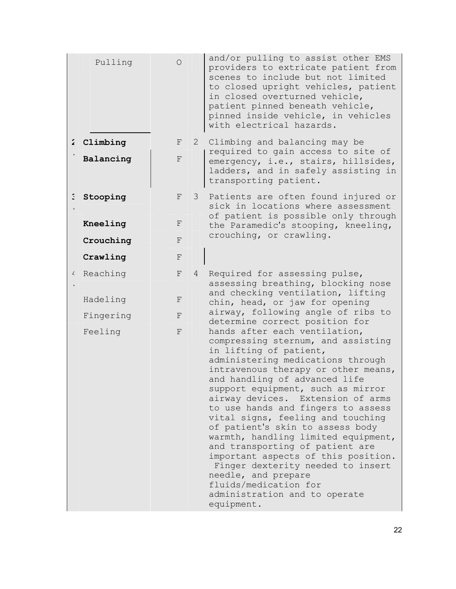|                      | Pulling   | $\bigcirc$  |                | and/or pulling to assist other EMS<br>providers to extricate patient from<br>scenes to include but not limited<br>to closed upright vehicles, patient<br>in closed overturned vehicle,<br>patient pinned beneath vehicle,<br>pinned inside vehicle, in vehicles<br>with electrical hazards.                                                                                                                                                                                                                                                                                                                                                                                                |
|----------------------|-----------|-------------|----------------|--------------------------------------------------------------------------------------------------------------------------------------------------------------------------------------------------------------------------------------------------------------------------------------------------------------------------------------------------------------------------------------------------------------------------------------------------------------------------------------------------------------------------------------------------------------------------------------------------------------------------------------------------------------------------------------------|
| $\tilde{\mathbf{z}}$ | Climbing  | F           | $\mathbf{2}$   | Climbing and balancing may be                                                                                                                                                                                                                                                                                                                                                                                                                                                                                                                                                                                                                                                              |
|                      | Balancing | F           |                | required to gain access to site of<br>emergency, i.e., stairs, hillsides,<br>ladders, and in safely assisting in<br>transporting patient.                                                                                                                                                                                                                                                                                                                                                                                                                                                                                                                                                  |
|                      | Stooping  | F           | 3 <sup>7</sup> | Patients are often found injured or<br>sick in locations where assessment<br>of patient is possible only through                                                                                                                                                                                                                                                                                                                                                                                                                                                                                                                                                                           |
|                      | Kneeling  | F           |                | the Paramedic's stooping, kneeling,                                                                                                                                                                                                                                                                                                                                                                                                                                                                                                                                                                                                                                                        |
|                      | Crouching | F           |                | crouching, or crawling.                                                                                                                                                                                                                                                                                                                                                                                                                                                                                                                                                                                                                                                                    |
|                      | Crawling  | $\mathbf F$ |                |                                                                                                                                                                                                                                                                                                                                                                                                                                                                                                                                                                                                                                                                                            |
| $\frac{2}{1}$        | Reaching  | $\mathbf F$ | $4\phantom{0}$ | Required for assessing pulse,<br>assessing breathing, blocking nose                                                                                                                                                                                                                                                                                                                                                                                                                                                                                                                                                                                                                        |
|                      | Hadeling  | F           |                | and checking ventilation, lifting<br>chin, head, or jaw for opening                                                                                                                                                                                                                                                                                                                                                                                                                                                                                                                                                                                                                        |
|                      | Fingering | F           |                | airway, following angle of ribs to                                                                                                                                                                                                                                                                                                                                                                                                                                                                                                                                                                                                                                                         |
|                      | Feeling   | F           |                | determine correct position for<br>hands after each ventilation,<br>compressing sternum, and assisting<br>in lifting of patient,<br>administering medications through<br>intravenous therapy or other means,<br>and handling of advanced life<br>support equipment, such as mirror<br>airway devices. Extension of arms<br>to use hands and fingers to assess<br>vital signs, feeling and touching<br>of patient's skin to assess body<br>warmth, handling limited equipment,<br>and transporting of patient are<br>important aspects of this position.<br>Finger dexterity needed to insert<br>needle, and prepare<br>fluids/medication for<br>administration and to operate<br>equipment. |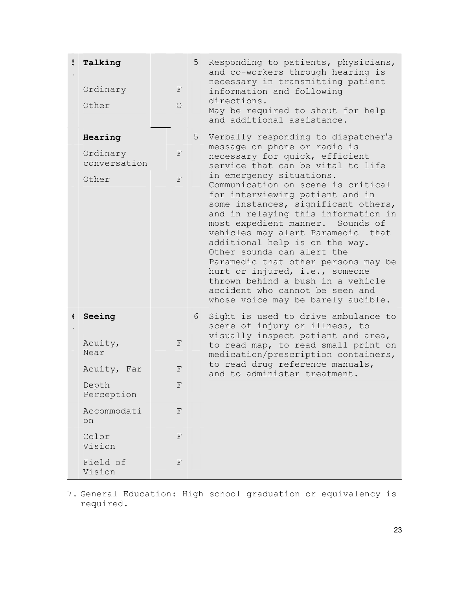| Talking                  |             | 5              | Responding to patients, physicians,<br>and co-workers through hearing is                                                                                                                                                                                                                                                                                                                                                                                                                                        |
|--------------------------|-------------|----------------|-----------------------------------------------------------------------------------------------------------------------------------------------------------------------------------------------------------------------------------------------------------------------------------------------------------------------------------------------------------------------------------------------------------------------------------------------------------------------------------------------------------------|
| Ordinary                 | F           |                | necessary in transmitting patient<br>information and following                                                                                                                                                                                                                                                                                                                                                                                                                                                  |
| Other                    | $\circ$     |                | directions.<br>May be required to shout for help<br>and additional assistance.                                                                                                                                                                                                                                                                                                                                                                                                                                  |
| Hearing                  |             | 5 <sup>1</sup> | Verbally responding to dispatcher's                                                                                                                                                                                                                                                                                                                                                                                                                                                                             |
| Ordinary<br>conversation | F           |                | message on phone or radio is<br>necessary for quick, efficient<br>service that can be vital to life                                                                                                                                                                                                                                                                                                                                                                                                             |
| Other                    | F           |                | in emergency situations.<br>Communication on scene is critical<br>for interviewing patient and in<br>some instances, significant others,<br>and in relaying this information in<br>most expedient manner. Sounds of<br>vehicles may alert Paramedic that<br>additional help is on the way.<br>Other sounds can alert the<br>Paramedic that other persons may be<br>hurt or injured, i.e., someone<br>thrown behind a bush in a vehicle<br>accident who cannot be seen and<br>whose voice may be barely audible. |
| Seeing                   |             | 6              | Sight is used to drive ambulance to<br>scene of injury or illness, to                                                                                                                                                                                                                                                                                                                                                                                                                                           |
| Acuity,<br>Near          | F           |                | visually inspect patient and area,<br>to read map, to read small print on<br>medication/prescription containers,                                                                                                                                                                                                                                                                                                                                                                                                |
| Acuity, Far              | F           |                | to read drug reference manuals,<br>and to administer treatment.                                                                                                                                                                                                                                                                                                                                                                                                                                                 |
| Depth<br>Perception      | F           |                |                                                                                                                                                                                                                                                                                                                                                                                                                                                                                                                 |
| Accommodati<br>on        | F           |                |                                                                                                                                                                                                                                                                                                                                                                                                                                                                                                                 |
| Color<br>Vision          | F           |                |                                                                                                                                                                                                                                                                                                                                                                                                                                                                                                                 |
| Field of<br>Vision       | $\mathbf F$ |                |                                                                                                                                                                                                                                                                                                                                                                                                                                                                                                                 |

7. General Education: High school graduation or equivalency is required.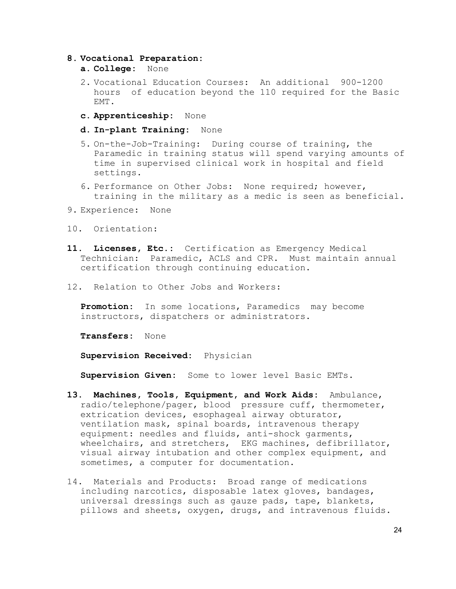#### **8. Vocational Preparation:**

- **a. College:** None
- 2. Vocational Education Courses: An additional 900-1200 hours of education beyond the 110 required for the Basic EMT.
- **c. Apprenticeship:** None
- **d. In-plant Training:** None
- 5. On-the-Job-Training: During course of training, the Paramedic in training status will spend varying amounts of time in supervised clinical work in hospital and field settings.
- 6. Performance on Other Jobs: None required; however, training in the military as a medic is seen as beneficial.
- 9. Experience: None
- 10. Orientation:
- **11. Licenses, Etc.:** Certification as Emergency Medical Technician: Paramedic, ACLS and CPR. Must maintain annual certification through continuing education.
- 12. Relation to Other Jobs and Workers:

**Promotion:** In some locations, Paramedics may become instructors, dispatchers or administrators.

**Transfers:** None

**Supervision Received:** Physician

**Supervision Given:** Some to lower level Basic EMTs.

- **13. Machines, Tools, Equipment, and Work Aids:** Ambulance, radio/telephone/pager, blood pressure cuff, thermometer, extrication devices, esophageal airway obturator, ventilation mask, spinal boards, intravenous therapy equipment: needles and fluids, anti-shock garments, wheelchairs, and stretchers, EKG machines, defibrillator, visual airway intubation and other complex equipment, and sometimes, a computer for documentation.
- 14. Materials and Products: Broad range of medications including narcotics, disposable latex gloves, bandages, universal dressings such as gauze pads, tape, blankets, pillows and sheets, oxygen, drugs, and intravenous fluids.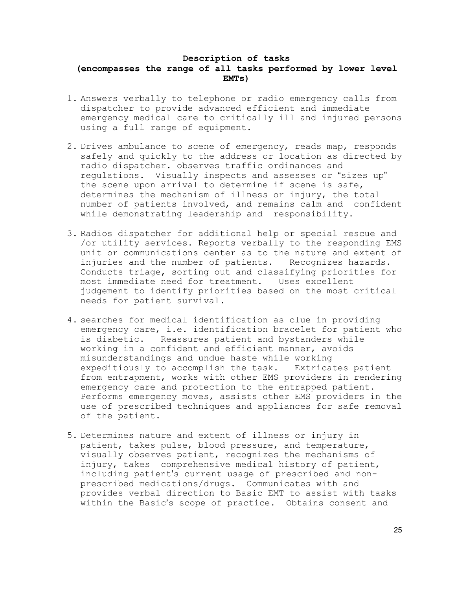## **Description of tasks (encompasses the range of all tasks performed by lower level EMTs)**

- 1. Answers verbally to telephone or radio emergency calls from dispatcher to provide advanced efficient and immediate emergency medical care to critically ill and injured persons using a full range of equipment.
- 2. Drives ambulance to scene of emergency, reads map, responds safely and quickly to the address or location as directed by radio dispatcher. observes traffic ordinances and regulations. Visually inspects and assesses or "sizes up" the scene upon arrival to determine if scene is safe, determines the mechanism of illness or injury, the total number of patients involved, and remains calm and confident while demonstrating leadership and responsibility.
- 3. Radios dispatcher for additional help or special rescue and /or utility services. Reports verbally to the responding EMS unit or communications center as to the nature and extent of injuries and the number of patients. Recognizes hazards. Conducts triage, sorting out and classifying priorities for most immediate need for treatment. Uses excellent judgement to identify priorities based on the most critical needs for patient survival.
- 4. searches for medical identification as clue in providing emergency care, i.e. identification bracelet for patient who is diabetic. Reassures patient and bystanders while working in a confident and efficient manner, avoids misunderstandings and undue haste while working expeditiously to accomplish the task. Extricates patient from entrapment, works with other EMS providers in rendering emergency care and protection to the entrapped patient. Performs emergency moves, assists other EMS providers in the use of prescribed techniques and appliances for safe removal of the patient.
- 5. Determines nature and extent of illness or injury in patient, takes pulse, blood pressure, and temperature, visually observes patient, recognizes the mechanisms of injury, takes comprehensive medical history of patient, including patient's current usage of prescribed and nonprescribed medications/drugs. Communicates with and provides verbal direction to Basic EMT to assist with tasks within the Basic's scope of practice. Obtains consent and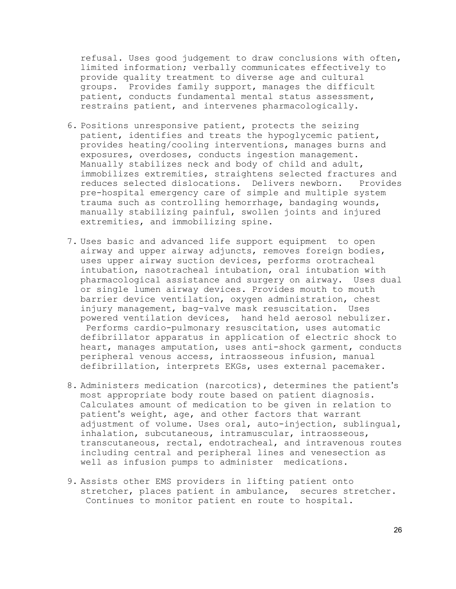refusal. Uses good judgement to draw conclusions with often, limited information; verbally communicates effectively to provide quality treatment to diverse age and cultural groups. Provides family support, manages the difficult patient, conducts fundamental mental status assessment, restrains patient, and intervenes pharmacologically.

- 6. Positions unresponsive patient, protects the seizing patient, identifies and treats the hypoglycemic patient, provides heating/cooling interventions, manages burns and exposures, overdoses, conducts ingestion management. Manually stabilizes neck and body of child and adult, immobilizes extremities, straightens selected fractures and reduces selected dislocations. Delivers newborn. Provides pre-hospital emergency care of simple and multiple system trauma such as controlling hemorrhage, bandaging wounds, manually stabilizing painful, swollen joints and injured extremities, and immobilizing spine.
- 7. Uses basic and advanced life support equipment to open airway and upper airway adjuncts, removes foreign bodies, uses upper airway suction devices, performs orotracheal intubation, nasotracheal intubation, oral intubation with pharmacological assistance and surgery on airway. Uses dual or single lumen airway devices. Provides mouth to mouth barrier device ventilation, oxygen administration, chest injury management, bag-valve mask resuscitation. Uses powered ventilation devices, hand held aerosol nebulizer. Performs cardio-pulmonary resuscitation, uses automatic defibrillator apparatus in application of electric shock to heart, manages amputation, uses anti-shock garment, conducts peripheral venous access, intraosseous infusion, manual defibrillation, interprets EKGs, uses external pacemaker.
- 8. Administers medication (narcotics), determines the patient's most appropriate body route based on patient diagnosis. Calculates amount of medication to be given in relation to patient's weight, age, and other factors that warrant adjustment of volume. Uses oral, auto-injection, sublingual, inhalation, subcutaneous, intramuscular, intraosseous, transcutaneous, rectal, endotracheal, and intravenous routes including central and peripheral lines and venesection as well as infusion pumps to administer medications.
- 9. Assists other EMS providers in lifting patient onto stretcher, places patient in ambulance, secures stretcher. Continues to monitor patient en route to hospital.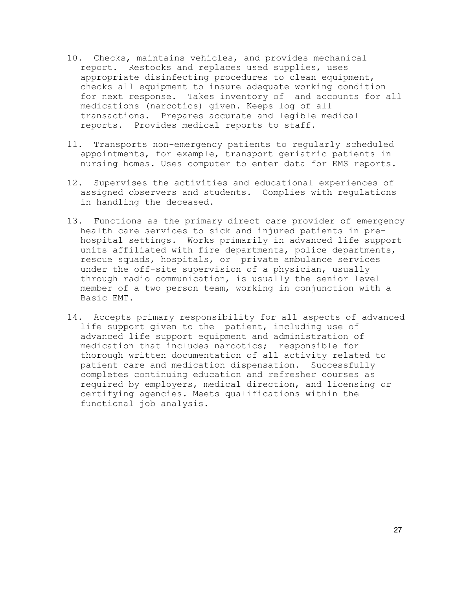- 10. Checks, maintains vehicles, and provides mechanical report. Restocks and replaces used supplies, uses appropriate disinfecting procedures to clean equipment, checks all equipment to insure adequate working condition for next response. Takes inventory of and accounts for all medications (narcotics) given. Keeps log of all transactions. Prepares accurate and legible medical reports. Provides medical reports to staff.
- 11. Transports non-emergency patients to regularly scheduled appointments, for example, transport geriatric patients in nursing homes. Uses computer to enter data for EMS reports.
- 12. Supervises the activities and educational experiences of assigned observers and students. Complies with regulations in handling the deceased.
- 13. Functions as the primary direct care provider of emergency health care services to sick and injured patients in prehospital settings. Works primarily in advanced life support units affiliated with fire departments, police departments, rescue squads, hospitals, or private ambulance services under the off-site supervision of a physician, usually through radio communication, is usually the senior level member of a two person team, working in conjunction with a Basic EMT.
- 14. Accepts primary responsibility for all aspects of advanced life support given to the patient, including use of advanced life support equipment and administration of medication that includes narcotics; responsible for thorough written documentation of all activity related to patient care and medication dispensation. Successfully completes continuing education and refresher courses as required by employers, medical direction, and licensing or certifying agencies. Meets qualifications within the functional job analysis.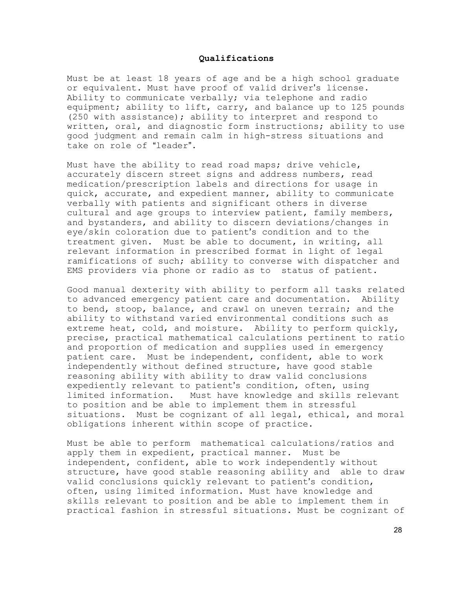#### **Qualifications**

Must be at least 18 years of age and be a high school graduate or equivalent. Must have proof of valid driver's license. Ability to communicate verbally; via telephone and radio equipment; ability to lift, carry, and balance up to 125 pounds (250 with assistance); ability to interpret and respond to written, oral, and diagnostic form instructions; ability to use good judgment and remain calm in high-stress situations and take on role of "leader".

Must have the ability to read road maps; drive vehicle, accurately discern street signs and address numbers, read medication/prescription labels and directions for usage in quick, accurate, and expedient manner, ability to communicate verbally with patients and significant others in diverse cultural and age groups to interview patient, family members, and bystanders, and ability to discern deviations/changes in eye/skin coloration due to patient's condition and to the treatment given. Must be able to document, in writing, all relevant information in prescribed format in light of legal ramifications of such; ability to converse with dispatcher and EMS providers via phone or radio as to status of patient.

Good manual dexterity with ability to perform all tasks related to advanced emergency patient care and documentation. Ability to bend, stoop, balance, and crawl on uneven terrain; and the ability to withstand varied environmental conditions such as extreme heat, cold, and moisture. Ability to perform quickly, precise, practical mathematical calculations pertinent to ratio and proportion of medication and supplies used in emergency patient care. Must be independent, confident, able to work independently without defined structure, have good stable reasoning ability with ability to draw valid conclusions expediently relevant to patient's condition, often, using limited information. Must have knowledge and skills relevant to position and be able to implement them in stressful situations. Must be cognizant of all legal, ethical, and moral obligations inherent within scope of practice.

Must be able to perform mathematical calculations/ratios and apply them in expedient, practical manner. Must be independent, confident, able to work independently without structure, have good stable reasoning ability and able to draw valid conclusions quickly relevant to patient's condition, often, using limited information. Must have knowledge and skills relevant to position and be able to implement them in practical fashion in stressful situations. Must be cognizant of